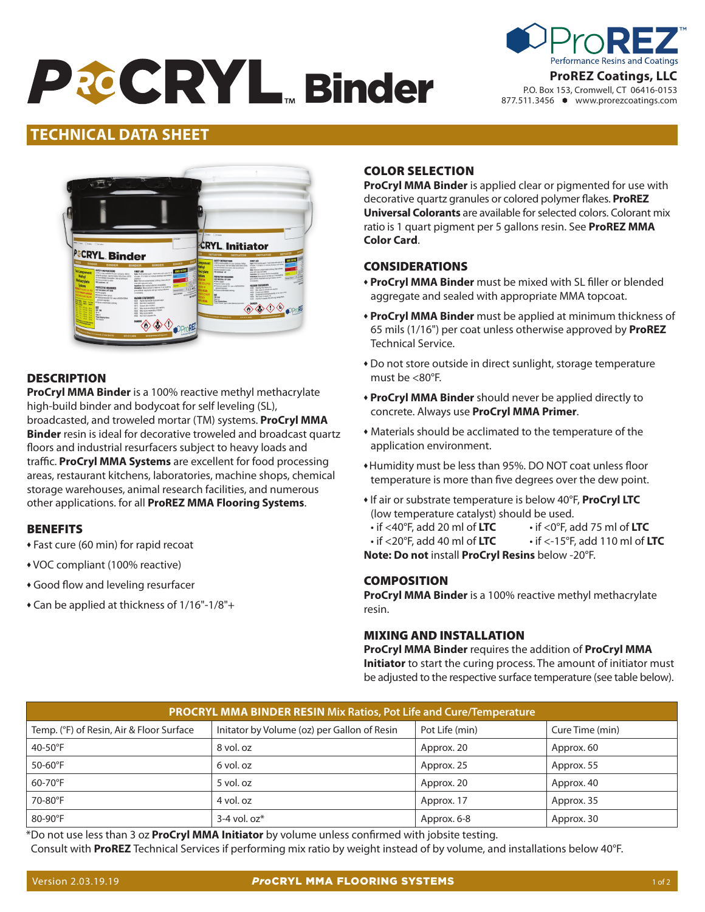# **PECRYL Binder**



# **Date Issued: 09/22/2016 Version: 1.0 TECHNICAL DATA SHEET**



# **DESCRIPTION**

**ProCryl MMA Binder** is a 100% reactive methyl methacrylate high-build binder and bodycoat for self leveling (SL), broadcasted, and troweled mortar (TM) systems. **ProCryl MMA Binder** resin is ideal for decorative troweled and broadcast quartz floors and industrial resurfacers subject to heavy loads and traffic. **ProCryl MMA Systems** are excellent for food processing areas, restaurant kitchens, laboratories, machine shops, chemical storage warehouses, animal research facilities, and numerous other applications. for all **ProREZ MMA Flooring Systems**.

## **BENEFITS**

- Fast cure (60 min) for rapid recoat
- \* VOC compliant (100% reactive)
- **Good flow and leveling resurfacer**
- $\triangle$  Can be applied at thickness of 1/16"-1/8"+

# COLOR SELECTION

**ProCryl MMA Binder** is applied clear or pigmented for use with decorative quartz granules or colored polymer flakes. **ProREZ Universal Colorants** are available for selected colors. Colorant mix ratio is 1 quart pigment per 5 gallons resin. See **ProREZ MMA Color Card**.

# CONSIDERATIONS

- **ProCryl MMA Binder** must be mixed with SL filler or blended aggregate and sealed with appropriate MMA topcoat.
- **ProCryl MMA Binder** must be applied at minimum thickness of 65 mils (1/16") per coat unless otherwise approved by **ProREZ** Technical Service.
- \* Do not store outside in direct sunlight, storage temperature must be <80°F.
- **ProCryl MMA Binder** should never be applied directly to concrete. Always use **ProCryl MMA Primer**.
- $*$  Materials should be acclimated to the temperature of the application environment.
- \* Humidity must be less than 95%. DO NOT coat unless floor temperature is more than five degrees over the dew point.
- <sup>u</sup> If air or substrate temperature is below 40°F, **ProCryl LTC** (low temperature catalyst) should be used.

• if <40°F, add 20 ml of **LTC** • if <0°F, add 75 ml of **LTC** • if <20°F, add 40 ml of **LTC** • if <-15°F, add 110 ml of **LTC**

**Note: Do not** install **ProCryl Resins** below -20°F.

## COMPOSITION

**ProCryl MMA Binder** is a 100% reactive methyl methacrylate resin.

## MIXING AND INSTALLATION

**ProCryl MMA Binder** requires the addition of **ProCryl MMA Initiator** to start the curing process. The amount of initiator must be adjusted to the respective surface temperature (see table below).

| <b>PROCRYL MMA BINDER RESIN Mix Ratios, Pot Life and Cure/Temperature</b> |                                             |                |                 |  |  |
|---------------------------------------------------------------------------|---------------------------------------------|----------------|-----------------|--|--|
| Temp. (°F) of Resin, Air & Floor Surface                                  | Initator by Volume (oz) per Gallon of Resin | Pot Life (min) | Cure Time (min) |  |  |
| 40-50 $\mathrm{^{\circ}F}$                                                | 8 vol. oz                                   | Approx. 20     | Approx. 60      |  |  |
| $50-60$ °F                                                                | 6 vol. oz                                   | Approx. 25     | Approx. 55      |  |  |
| 60-70°F                                                                   | 5 vol. oz                                   | Approx. 20     | Approx. 40      |  |  |
| 70-80°F                                                                   | 4 vol. oz                                   | Approx. 17     | Approx. 35      |  |  |
| $80-90^\circ F$                                                           | $3-4$ vol. $oz^*$                           | Approx. 6-8    | Approx. 30      |  |  |

\*Do not use less than 3 oz **ProCryl MMA Initiator** by volume unless confirmed with jobsite testing. Consult with **ProREZ** Technical Services if performing mix ratio by weight instead of by volume, and installations below 40°F.